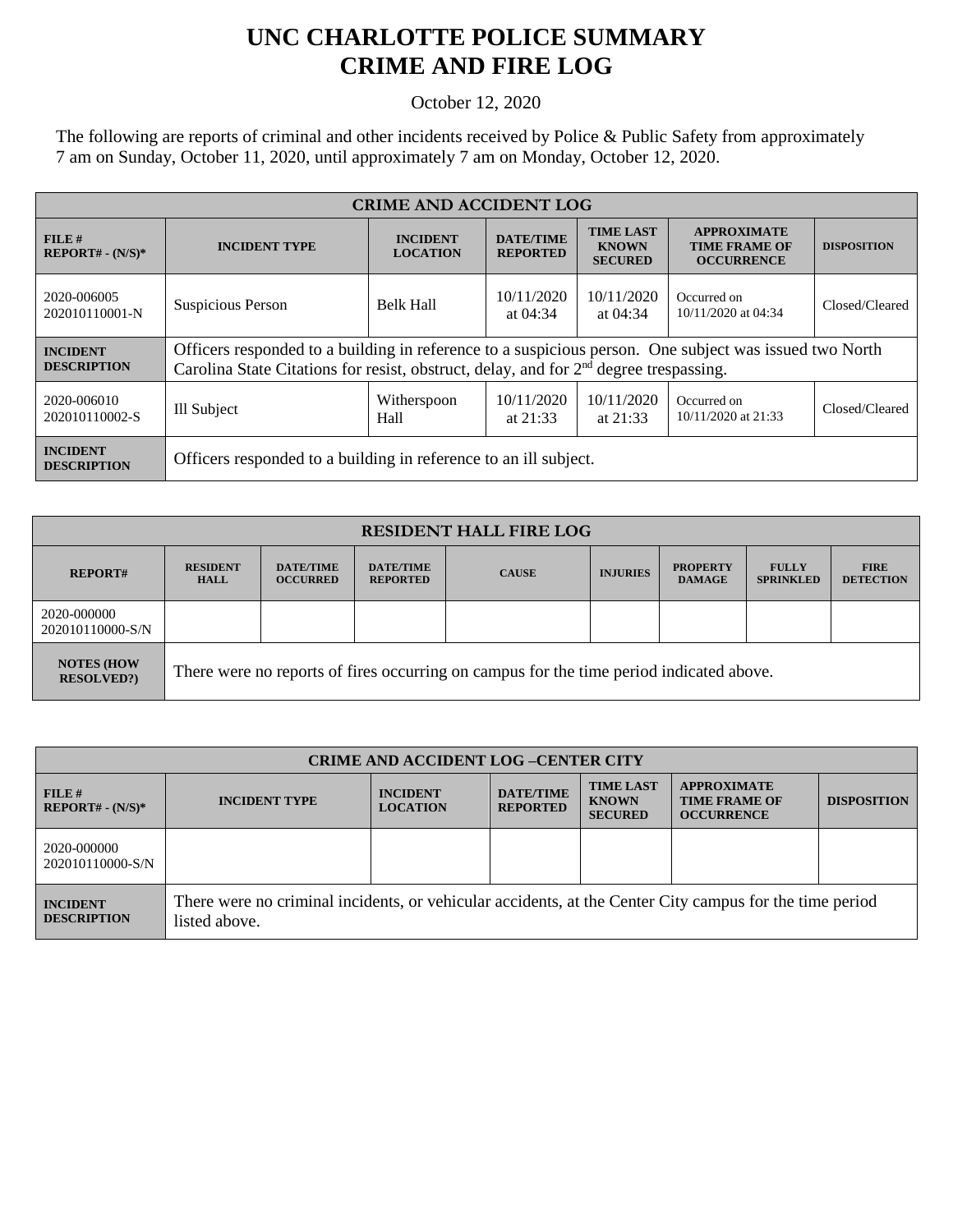## **UNC CHARLOTTE POLICE SUMMARY CRIME AND FIRE LOG**

October 12, 2020

The following are reports of criminal and other incidents received by Police & Public Safety from approximately 7 am on Sunday, October 11, 2020, until approximately 7 am on Monday, October 12, 2020.

| <b>CRIME AND ACCIDENT LOG</b>         |                                                                                                                                                                                                   |                                    |                                                                     |                                                    |                                                                 |                    |  |
|---------------------------------------|---------------------------------------------------------------------------------------------------------------------------------------------------------------------------------------------------|------------------------------------|---------------------------------------------------------------------|----------------------------------------------------|-----------------------------------------------------------------|--------------------|--|
| FILE#<br>$REPORT# - (N/S)*$           | <b>INCIDENT TYPE</b>                                                                                                                                                                              | <b>INCIDENT</b><br><b>LOCATION</b> | <b>DATE/TIME</b><br><b>REPORTED</b>                                 | <b>TIME LAST</b><br><b>KNOWN</b><br><b>SECURED</b> | <b>APPROXIMATE</b><br><b>TIME FRAME OF</b><br><b>OCCURRENCE</b> | <b>DISPOSITION</b> |  |
| 2020-006005<br>202010110001-N         | Suspicious Person                                                                                                                                                                                 | <b>Belk Hall</b>                   | 10/11/2020<br>10/11/2020<br>Occurred on<br>at $04:34$<br>at $04:34$ |                                                    | 10/11/2020 at 04:34                                             | Closed/Cleared     |  |
| <b>INCIDENT</b><br><b>DESCRIPTION</b> | Officers responded to a building in reference to a suspicious person. One subject was issued two North<br>Carolina State Citations for resist, obstruct, delay, and for $2nd$ degree trespassing. |                                    |                                                                     |                                                    |                                                                 |                    |  |
| 2020-006010<br>202010110002-S         | Ill Subject                                                                                                                                                                                       | Witherspoon<br>Hall                | 10/11/2020<br>at $21:33$                                            | 10/11/2020<br>at $21:33$                           | Occurred on<br>10/11/2020 at 21:33                              | Closed/Cleared     |  |
| <b>INCIDENT</b><br><b>DESCRIPTION</b> | Officers responded to a building in reference to an ill subject.                                                                                                                                  |                                    |                                                                     |                                                    |                                                                 |                    |  |

| <b>RESIDENT HALL FIRE LOG</b>          |                                                                                         |                                     |                                     |              |                 |                                  |                                  |                                 |
|----------------------------------------|-----------------------------------------------------------------------------------------|-------------------------------------|-------------------------------------|--------------|-----------------|----------------------------------|----------------------------------|---------------------------------|
| <b>REPORT#</b>                         | <b>RESIDENT</b><br><b>HALL</b>                                                          | <b>DATE/TIME</b><br><b>OCCURRED</b> | <b>DATE/TIME</b><br><b>REPORTED</b> | <b>CAUSE</b> | <b>INJURIES</b> | <b>PROPERTY</b><br><b>DAMAGE</b> | <b>FULLY</b><br><b>SPRINKLED</b> | <b>FIRE</b><br><b>DETECTION</b> |
| 2020-000000<br>202010110000-S/N        |                                                                                         |                                     |                                     |              |                 |                                  |                                  |                                 |
| <b>NOTES (HOW</b><br><b>RESOLVED?)</b> | There were no reports of fires occurring on campus for the time period indicated above. |                                     |                                     |              |                 |                                  |                                  |                                 |

| <b>CRIME AND ACCIDENT LOG-CENTER CITY</b> |                                                                                                                          |                                    |                                     |                                                    |                                                                 |                    |  |
|-------------------------------------------|--------------------------------------------------------------------------------------------------------------------------|------------------------------------|-------------------------------------|----------------------------------------------------|-----------------------------------------------------------------|--------------------|--|
| FILE#<br>$REPORT# - (N/S)*$               | <b>INCIDENT TYPE</b>                                                                                                     | <b>INCIDENT</b><br><b>LOCATION</b> | <b>DATE/TIME</b><br><b>REPORTED</b> | <b>TIME LAST</b><br><b>KNOWN</b><br><b>SECURED</b> | <b>APPROXIMATE</b><br><b>TIME FRAME OF</b><br><b>OCCURRENCE</b> | <b>DISPOSITION</b> |  |
| 2020-000000<br>202010110000-S/N           |                                                                                                                          |                                    |                                     |                                                    |                                                                 |                    |  |
| <b>INCIDENT</b><br><b>DESCRIPTION</b>     | There were no criminal incidents, or vehicular accidents, at the Center City campus for the time period<br>listed above. |                                    |                                     |                                                    |                                                                 |                    |  |